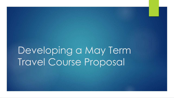Developing a May Term Travel Course Proposal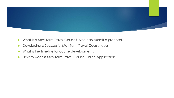

- What is a May Term Travel Course? Who can submit a proposal?
- **Developing a Successful May Term Travel Course Idea**
- What is the timeline for course development?
- How to Access May Term Travel Course Online Application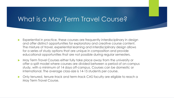# What is a May Term Travel Course?

- Experiential in practice, these courses are frequently interdisciplinary in design and offer distinct opportunities for exploratory and creative course content. The mixture of travel, experiential learning and interdisciplinary design allows for a series of study options that are unique in composition and provide educational opportunities that are not possible during regular semesters.
- May Term Travel Courses either fully take place away from the university or offer a split model where courses are divided between a period of on-campus study, with a minimum of 14 days off-campus. Courses can be domestic or international. The average class-size is 14-15 students per course.
- Only tenured, tenure-track and term-track CAS faculty are eligible to reach a May Term Travel Course.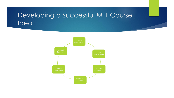## Developing a Successful MTT Course Idea

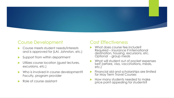

#### Course Development

- Course meets student needs/interests and is approved for (LAI, Johnston, etc.)
- Support from within department
- Utilizes course location (guest lectures, excursions, etc.)
- Who is involved in course development? Faculty, program provider
- Role of course assistant

#### Cost Effectiveness

- What does course fee include? Required – insurance if international destination, housing, excursions, etc. Optional - group meals
- What will student out of pocket expenses be? (airfare, visa, vaccinations, meals, etc.)
- Financial aid and scholarships are limited for May Term Travel Courses
- How many students needed to make price point appealing for students?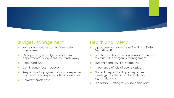

### Budget Management

- Money from course comes from student course fees
- ▶ Overspending of budget comes from departmental budget not CAS Study Away
- **Remaining funds**
- **Contingency fees in budget**
- Responsible for payment of course expenses and reconciling expenses after course ends
- University credit card

### Health and Safety

- Is proposed location a level 1 or 2 with State Department?
- Familiarity with location and on-site resources to assist with emergency management
- Student conduct/Title IX/reporting
- Importance of role of course assistant
- Student preparation in pre-departure meetings (academic, cultural, identity, logistically, etc.)
- Expectation setting for course participants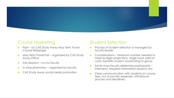

### Course Marketing

- Flyer on CAS Study Away May Term Travel Course Webpage
- May Term Travel Fair organized by CAS Study Away Office
- $\blacktriangleright$  Info Sessions run by faculty
- In class promotion organized by faculty
- CAS Study Away social media promotion

#### Student Selection

- Process of student selection is managed by faculty leader
- Considerations minimum number needed to meet budget projections, single room add on costs, benefits student would bring to group
- Some ways faculty determine participants interviews, required information sessions, etc.
- Clear communication with students on course fees, out of pocket expenses, withdrawal process and deadlines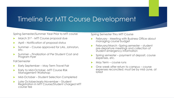## Timeline for MTT Course Development

Spring Semester/Summer Year Prior to MTT course

- **March 31st MTT Course proposal due**
- April Notification of proposal status
- Summer Course approved for LAIs, Johnston, etc.
- Summer Finalization of Per Student Cost and Program Flyer

Fall Semester

- Early September May Term Travel Fair
- Early to Mid-October -MTT Course Risk Management Workshop
- Mid-October Student Selection Completed
- ▶ Late October/early November Student Registration in MTT Course/Student charged MTT course fee

Spring Semester Thru MTT Course

- February Meeting with Business Office about managing course budget
- **February/March –Spring semester student** pre-departure meetings and collection of student emergency information
- Spring semester payment of deposit, course expenses, etc.
- May Term course runs
- One week after return to campus course expenses reconciled; must be by mid-June, at latest